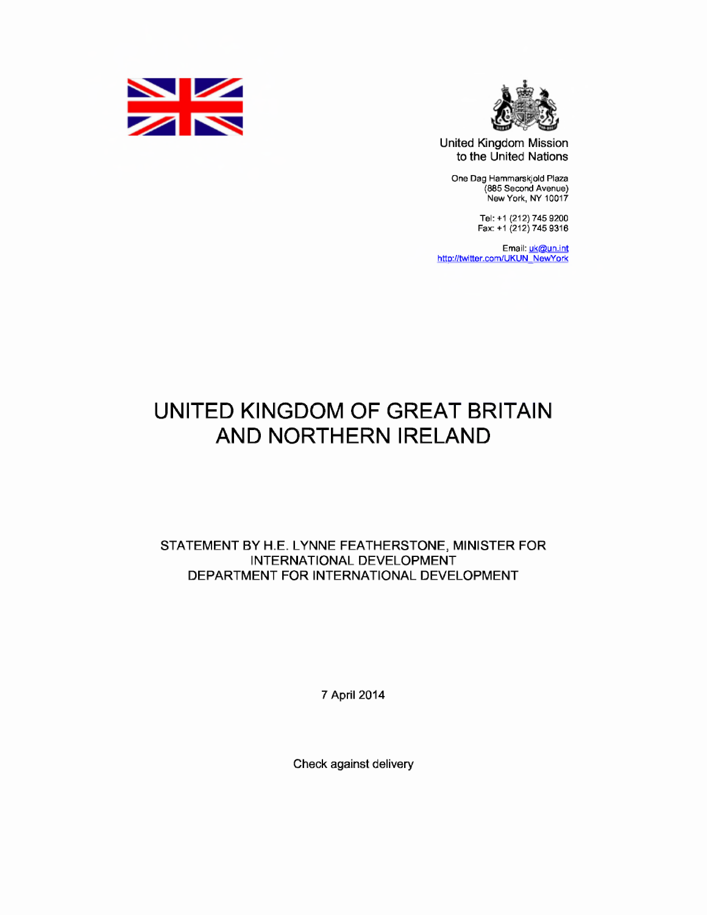



United Kingdom Mission to the United Nations

One Dag Hammarskjold Plaza (885 Second Avenue) New York, NY 10017

> Tel: +1 (212) 745 9200 Fax: +1 (212) 745 9316

Email: <mark>uk@un.int</mark> http://twitter.com/UKUN NewYork

## UNITED KINGDOM OF GREAT BRITAIN AND NORTHERN IRELAND

STATEMENT BY H.E. LYNNE FEATHERSTONE, MINISTER FOR INTERNATIONAL DEVELOPMENT DEPARTMENT FOR INTERNATIONAL DEVELOPMENT

7 April 2014

Check against delivery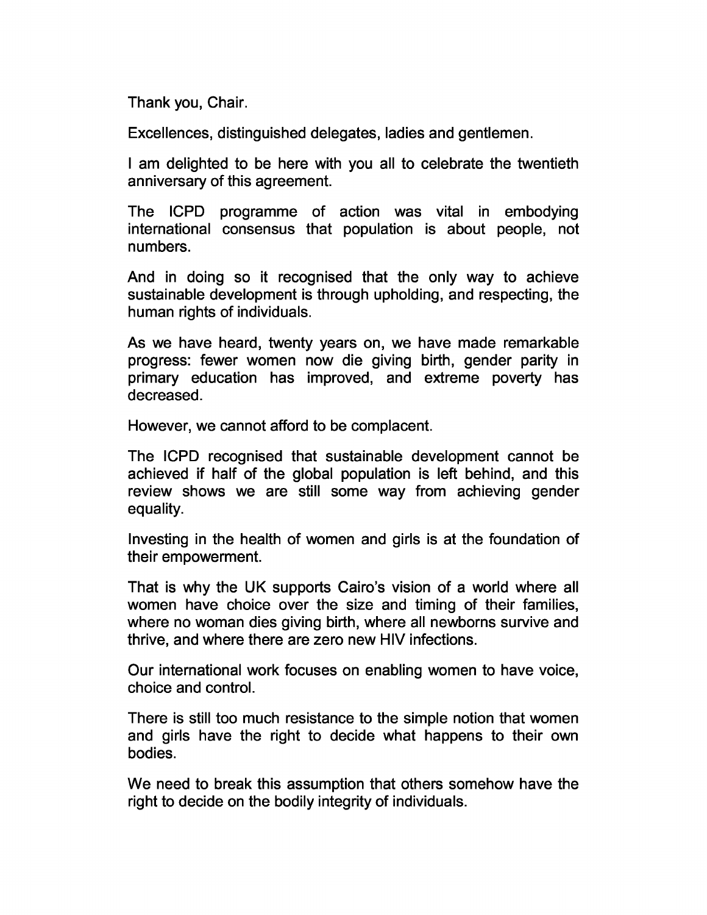Thank you, Chair.

Excellences, distinguished delegates, ladies and gentlemen.

I am delighted to be here with you all to celebrate the twentieth anniversary of this agreement.

The ICPD programme of action was vital in embodying international consensus that population is about people, not numbers.

And in doing so it recognised that the only way to achieve sustainable development is through upholding, and respecting, the human rights of individuals.

As we have heard, twenty years on, we have made remarkable progress: fewer women now die giving birth, gender parity in primary education has improved, and extreme poverty has decreased.

However, we cannot afford to be complacent.

The ICPD recognised that sustainable development cannot be achieved if half of the global population is left behind, and this review shows we are still some way from achieving gender equality.

Investing in the health of women and girls is at the foundation of their empowerment.

That is why the UK supports Cairo's vision of a world where all women have choice over the size and timing of their families, where no woman dies giving birth, where all newborns survive and thrive, and where there are zero new HIV infections.

Our international work focuses on enabling women to have voice, choice and control.

There is still too much resistance to the simple notion that women and girls have the right to decide what happens to their own bodies.

We need to break this assumption that others somehow have the right to decide on the bodily integrity of individuals.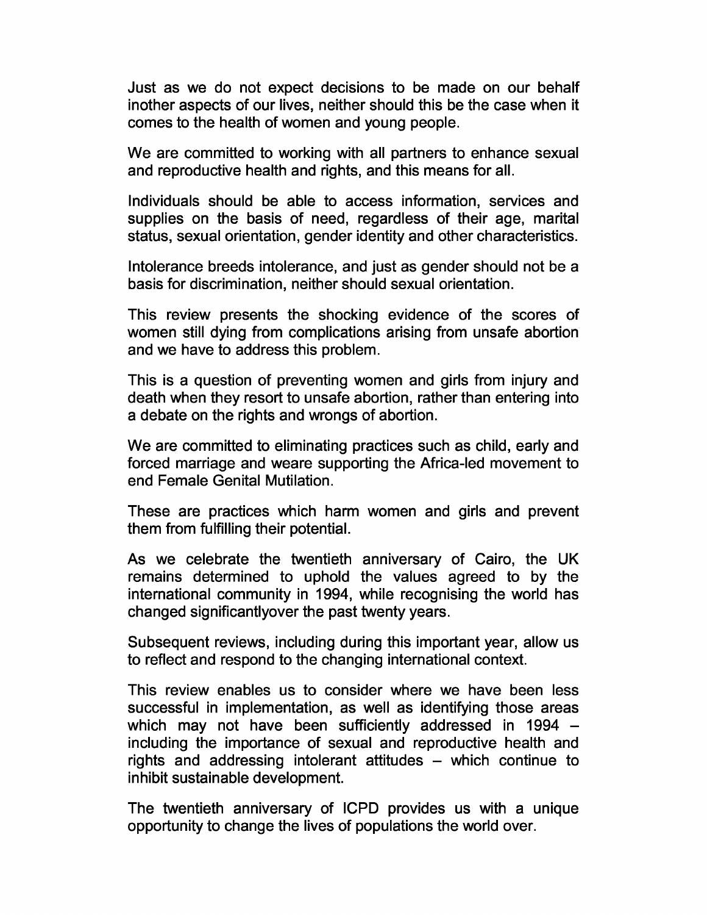Just as we do not expect decisions to be made on our behalf inother aspects of our lives, neither should this be the case when it comes to the health of women and young people.

We are committed to working with all partners to enhance sexual and reproductive health and rights, and this means for all.

Individuals should be able to access information, services and supplies on the basis of need, regardless of their age, marital status, sexual orientation, gender identity and other characteristics.

Intolerance breeds intolerance, and just as gender should not be a basis for discrimination, neither should sexual orientation.

This review presents the shocking evidence of the scores of women still dying from complications arising from unsafe abortion and we have to address this problem.

This is a question of preventing women and girls from injury and death when they resort to unsafe abortion, rather than entering into a debate on the rights and wrongs of abortion.

We are committed to eliminating practices such as child, early and forced marriage and weare supporting the Africa-led movement to end Female Genital Mutilation.

These are practices which harm women and girls and prevent them from fulfilling their potential.

As we celebrate the twentieth anniversary of Cairo, the UK remains determined to uphold the values agreed to by the international community in 1994, while recognising the world has changed significantlyover the past twenty years.

Subsequent reviews, including during this important year, allow us to reflect and respond to the changing international context.

This review enables us to consider where we have been less successful in implementation, as well as identifying those areas which may not have been sufficiently addressed in 1994 – including the importance of sexual and reproductive health and rights and addressing intolerant attitudes – which continue to inhibit sustainable development.

The twentieth anniversary of ICPD provides us with a unique opportunity to change the lives of populations the world over.